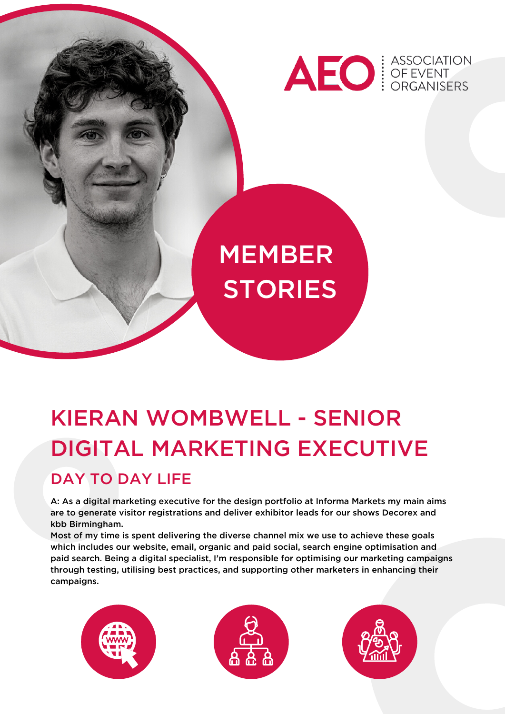

# **MEMBER STORIES**

# KIERAN WOMBWELL - SENIOR DIGITAL MARKETING EXECUTIVE DAY TO DAY LIFE

A: As a digital marketing executive for the design portfolio at Informa Markets my main aims are to generate visitor registrations and deliver exhibitor leads for our shows Decorex and kbb Birmingham.

Most of my time is spent delivering the diverse channel mix we use to achieve these goals which includes our website, email, organic and paid social, search engine optimisation and paid search. Being a digital specialist, I'm responsible for optimising our marketing campaigns through testing, utilising best practices, and supporting other marketers in enhancing their campaigns.